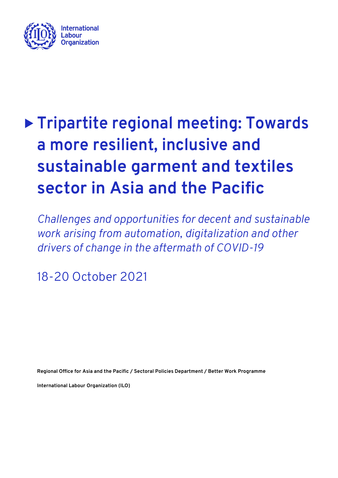

# **Tripartite regional meeting: Towards a more resilient, inclusive and sustainable garment and textiles sector in Asia and the Pacific**

*Challenges and opportunities for decent and sustainable work arising from automation, digitalization and other drivers of change in the aftermath of COVID-19*

18-20 October 2021

**Regional Office for Asia and the Pacific / Sectoral Policies Department / Better Work Programme**

**International Labour Organization (ILO)**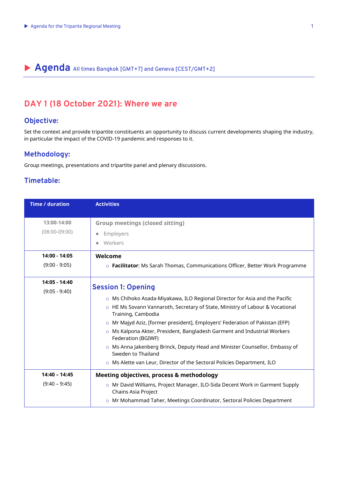## **Agenda** All times Bangkok [GMT+7] and Geneva [CEST/GMT+2]

## **DAY 1 (18 October 2021): Where we are**

#### **Objective:**

Set the context and provide tripartite constituents an opportunity to discuss current developments shaping the industry, in particular the impact of the COVID-19 pandemic and responses to it.

#### **Methodology:**

Group meetings, presentations and tripartite panel and plenary discussions.

#### **Timetable:**

| <b>Time / duration</b>             | <b>Activities</b>                                                                                                                                                                                                                                                                                                                                                                                                                                                                                                                                                                       |
|------------------------------------|-----------------------------------------------------------------------------------------------------------------------------------------------------------------------------------------------------------------------------------------------------------------------------------------------------------------------------------------------------------------------------------------------------------------------------------------------------------------------------------------------------------------------------------------------------------------------------------------|
| 13:00-14:00<br>$(08:00-09:00)$     | <b>Group meetings (closed sitting)</b><br>Employers<br>Workers                                                                                                                                                                                                                                                                                                                                                                                                                                                                                                                          |
| 14:00 - 14:05<br>$(9:00 - 9:05)$   | Welcome<br>o Facilitator: Ms Sarah Thomas, Communications Officer, Better Work Programme                                                                                                                                                                                                                                                                                                                                                                                                                                                                                                |
| 14:05 - 14:40<br>$(9:05 - 9:40)$   | <b>Session 1: Opening</b><br>$\circ$ Ms Chihoko Asada-Miyakawa, ILO Regional Director for Asia and the Pacific<br>○ HE Ms Sovann Vannaroth, Secretary of State, Ministry of Labour & Vocational<br>Training, Cambodia<br>o Mr Majyd Aziz, [former president], Employers' Federation of Pakistan (EFP)<br>o Ms Kalpona Akter, President, Bangladesh Garment and Industrial Workers<br>Federation (BGIWF)<br>○ Ms Anna Jakenberg Brinck, Deputy Head and Minister Counsellor, Embassy of<br>Sweden to Thailand<br>o Ms Alette van Leur, Director of the Sectoral Policies Department, ILO |
| $14:40 - 14:45$<br>$(9:40 - 9:45)$ | <b>Meeting objectives, process &amp; methodology</b><br>o Mr David Williams, Project Manager, ILO-Sida Decent Work in Garment Supply<br>Chains Asia Project<br>o Mr Mohammad Taher, Meetings Coordinator, Sectoral Policies Department                                                                                                                                                                                                                                                                                                                                                  |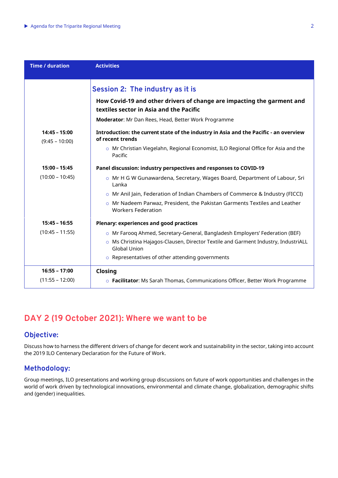| <b>Time / duration</b>              | <b>Activities</b>                                                                                                 |
|-------------------------------------|-------------------------------------------------------------------------------------------------------------------|
|                                     | Session 2: The industry as it is                                                                                  |
|                                     | How Covid-19 and other drivers of change are impacting the garment and<br>textiles sector in Asia and the Pacific |
|                                     | Moderator: Mr Dan Rees, Head, Better Work Programme                                                               |
| $14:45 - 15:00$<br>$(9:45 - 10:00)$ | Introduction: the current state of the industry in Asia and the Pacific - an overview<br>of recent trends         |
|                                     | o Mr Christian Viegelahn, Regional Economist, ILO Regional Office for Asia and the<br>Pacific                     |
| $15:00 - 15:45$                     | Panel discussion: industry perspectives and responses to COVID-19                                                 |
| $(10:00 - 10:45)$                   | $\circ$ Mr H G W Gunawardena, Secretary, Wages Board, Department of Labour, Sri<br>Lanka                          |
|                                     | o Mr Anil Jain, Federation of Indian Chambers of Commerce & Industry (FICCI)                                      |
|                                     | o Mr Nadeem Parwaz, President, the Pakistan Garments Textiles and Leather<br><b>Workers Federation</b>            |
| $15:45 - 16:55$                     | Plenary: experiences and good practices                                                                           |
| $(10:45 - 11:55)$                   | o Mr Faroog Ahmed, Secretary-General, Bangladesh Employers' Federation (BEF)                                      |
|                                     | o Ms Christina Hajagos-Clausen, Director Textile and Garment Industry, IndustriALL<br><b>Global Union</b>         |
|                                     | $\circ$ Representatives of other attending governments                                                            |
| $16:55 - 17:00$                     | Closing                                                                                                           |
| $(11:55 - 12:00)$                   | o Facilitator: Ms Sarah Thomas, Communications Officer, Better Work Programme                                     |

## **DAY 2 (19 October 2021): Where we want to be**

#### **Objective:**

Discuss how to harness the different drivers of change for decent work and sustainability in the sector, taking into account the 2019 ILO Centenary Declaration for the Future of Work.

#### **Methodology:**

Group meetings, ILO presentations and working group discussions on future of work opportunities and challenges in the world of work driven by technological innovations, environmental and climate change, globalization, demographic shifts and (gender) inequalities.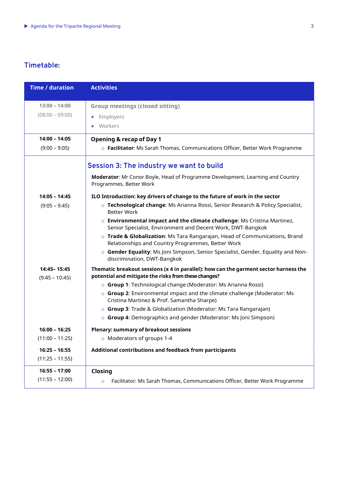### **Timetable:**

| <b>Time / duration</b>            | <b>Activities</b>                                                                                                                            |
|-----------------------------------|----------------------------------------------------------------------------------------------------------------------------------------------|
| $13:00 - 14:00$                   | <b>Group meetings (closed sitting)</b>                                                                                                       |
| $(08:00 - 09:00)$                 | Employers<br>$\bullet$                                                                                                                       |
|                                   | Workers                                                                                                                                      |
| $14:00 - 14:05$                   | <b>Opening &amp; recap of Day 1</b>                                                                                                          |
| $(9:00 - 9:05)$                   | o Facilitator: Ms Sarah Thomas, Communications Officer, Better Work Programme                                                                |
|                                   | <b>Session 3: The industry we want to build</b>                                                                                              |
|                                   | Moderator: Mr Conor Boyle, Head of Programme Development, Learning and Country<br>Programmes, Better Work                                    |
| 14:05 - 14:45                     | ILO Introduction: key drivers of change to the future of work in the sector                                                                  |
| $(9:05 - 9:45)$                   | o Technological change: Ms Arianna Rossi, Senior Research & Policy Specialist,<br><b>Better Work</b>                                         |
|                                   | o Environmental impact and the climate challenge: Ms Cristina Martinez,<br>Senior Specialist, Environment and Decent Work, DWT-Bangkok       |
|                                   | o Trade & Globalization: Ms Tara Rangarajan, Head of Communications, Brand<br>Relationships and Country Programmes, Better Work              |
|                                   | o Gender Equality: Ms Joni Simpson, Senior Specialist, Gender, Equality and Non-<br>discrimination, DWT-Bangkok                              |
| 14:45 - 15:45<br>$(9:45 - 10:45)$ | Thematic breakout sessions (x 4 in parallel): how can the garment sector harness the<br>potential and mitigate the risks from these changes? |
|                                   | ○ Group 1: Technological change (Moderator: Ms Arianna Rossi)                                                                                |
|                                   | o Group 2: Environmental impact and the climate challenge (Moderator: Ms<br>Cristina Martinez & Prof. Samantha Sharpe)                       |
|                                   | $\circ$ Group 3: Trade & Globalization (Moderator: Ms Tara Rangarajan)                                                                       |
|                                   | ○ Group 4: Demographics and gender (Moderator: Ms Joni Simpson)                                                                              |
| 16:00 - 16:25                     | <b>Plenary: summary of breakout sessions</b>                                                                                                 |
| $(11:00 - 11:25)$                 | o Moderators of groups 1-4                                                                                                                   |
| $16:25 - 16:55$                   | Additional contributions and feedback from participants                                                                                      |
| $(11:25 - 11:55)$                 |                                                                                                                                              |
| $16:55 - 17:00$                   | Closing                                                                                                                                      |
| $(11:55 - 12:00)$                 | Facilitator: Ms Sarah Thomas, Communications Officer, Better Work Programme<br>$\circ$                                                       |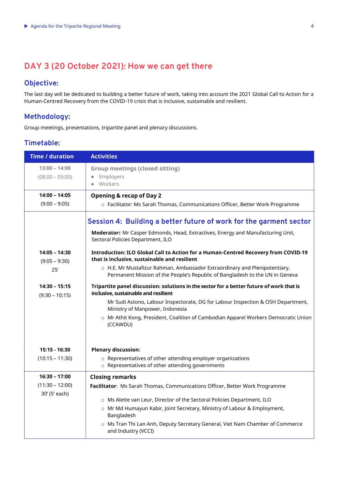## **DAY 3 (20 October 2021): How we can get there**

#### **Objective:**

The last day will be dedicated to building a better future of work, taking into account the 202[1 Global Call to Action for a](https://www.ilo.org/wcmsp5/groups/public/---ed_norm/---relconf/documents/meetingdocument/wcms_806092.pdf)  [Human-Centred Recovery from the COVID-19 crisis that is inclusive, sustainable and resilient.](https://www.ilo.org/wcmsp5/groups/public/---ed_norm/---relconf/documents/meetingdocument/wcms_806092.pdf)

#### **Methodology:**

Group meetings, presentations, tripartite panel and plenary discussions.

#### **Timetable:**

| <b>Time / duration</b>              | <b>Activities</b>                                                                                                                                          |
|-------------------------------------|------------------------------------------------------------------------------------------------------------------------------------------------------------|
| $13:00 - 14:00$                     | <b>Group meetings (closed sitting)</b>                                                                                                                     |
| $(08:00 - 09:00)$                   | Employers<br>$\bullet$                                                                                                                                     |
|                                     | Workers<br>$\bullet$                                                                                                                                       |
| $14:00 - 14:05$                     | <b>Opening &amp; recap of Day 2</b>                                                                                                                        |
| $(9:00 - 9:05)$                     | o Facilitator: Ms Sarah Thomas, Communications Officer, Better Work Programme                                                                              |
|                                     | Session 4: Building a better future of work for the garment sector                                                                                         |
|                                     | Moderator: Mr Casper Edmonds, Head, Extractives, Energy and Manufacturing Unit,<br>Sectoral Policies Department, ILO                                       |
| 14:05 - 14:30<br>$(9:05 - 9:30)$    | Introduction: ILO Global Call to Action for a Human-Centred Recovery from COVID-19<br>that is inclusive, sustainable and resilient                         |
| 25'                                 | o H.E. Mr Mustafizur Rahman, Ambassador Extraordinary and Plenipotentiary,<br>Permanent Mission of the People's Republic of Bangladesh to the UN in Geneva |
| $14:30 - 15:15$<br>$(9:30 - 10:15)$ | Tripartite panel discussion: solutions in the sector for a better future of work that is<br>inclusive, sustainable and resilient                           |
|                                     | Mr Sudi Astono, Labour Inspectorate, DG for Labour Inspection & OSH Department,<br>Ministry of Manpower, Indonesia                                         |
|                                     | o Mr Athit Kong, President, Coalition of Cambodian Apparel Workers Democratic Union<br>(CCAWDU)                                                            |
| 15:15 - 16:30                       | <b>Plenary discussion:</b>                                                                                                                                 |
| $(10:15 - 11:30)$                   | o Representatives of other attending employer organizations<br>○ Representatives of other attending governments                                            |
| $16:30 - 17:00$                     | <b>Closing remarks</b>                                                                                                                                     |
| $(11:30 - 12:00)$                   | Facilitator: Ms Sarah Thomas, Communications Officer, Better Work Programme                                                                                |
| 30' (5' each)                       | o Ms Alette van Leur, Director of the Sectoral Policies Department, ILO                                                                                    |
|                                     | o Mr Md Humayun Kabir, Joint Secretary, Ministry of Labour & Employment,                                                                                   |
|                                     | Bangladesh                                                                                                                                                 |
|                                     | o Ms Tran Thi Lan Anh, Deputy Secretary General, Viet Nam Chamber of Commerce<br>and Industry (VCCI)                                                       |